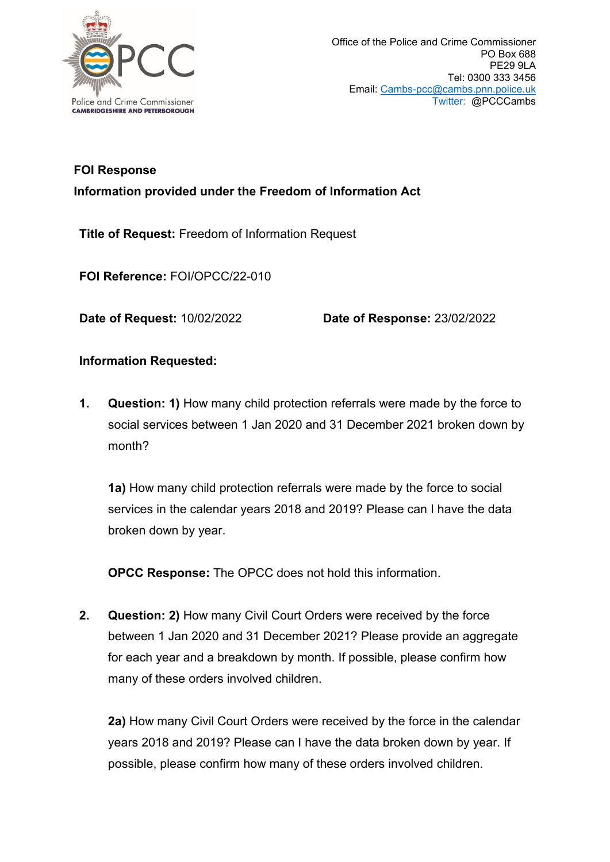

## **FOI Response Information provided under the Freedom of Information Act**

**Title of Request:** Freedom of Information Request

**FOI Reference:** FOI/OPCC/22-010

**Date of Request:** 10/02/2022 **Date of Response:** 23/02/2022

## **Information Requested:**

**1. Question: 1)** How many child protection referrals were made by the force to social services between 1 Jan 2020 and 31 December 2021 broken down by month?

**1a)** How many child protection referrals were made by the force to social services in the calendar years 2018 and 2019? Please can I have the data broken down by year.

**OPCC Response:** The OPCC does not hold this information.

**2. Question: 2)** How many Civil Court Orders were received by the force between 1 Jan 2020 and 31 December 2021? Please provide an aggregate for each year and a breakdown by month. If possible, please confirm how many of these orders involved children.

**2a)** How many Civil Court Orders were received by the force in the calendar years 2018 and 2019? Please can I have the data broken down by year. If possible, please confirm how many of these orders involved children.